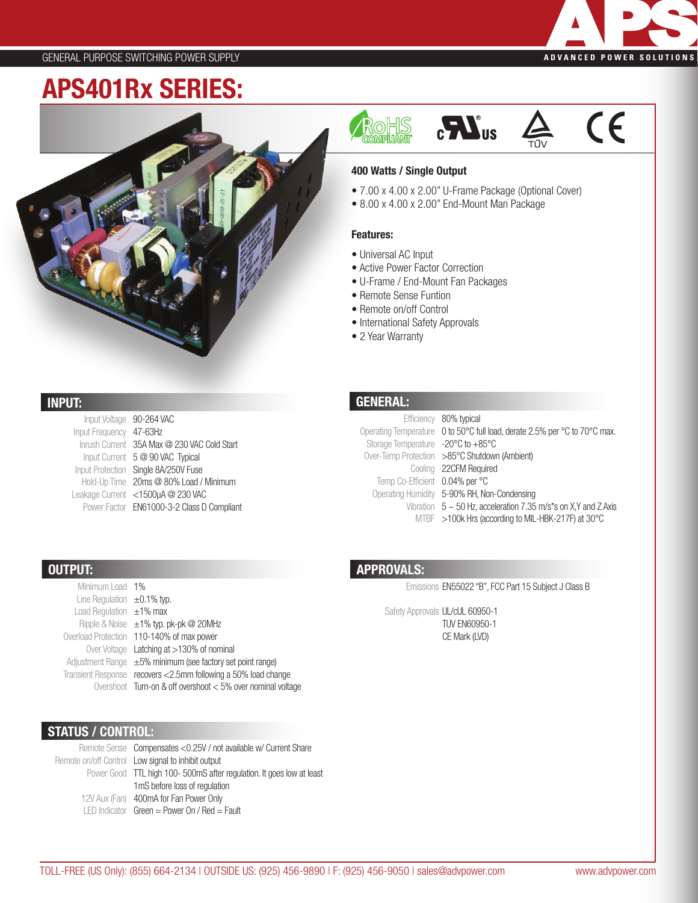

 $\epsilon$ 

## APS401Rx SERIES:



### INPUT:

OUTPUT:

| Input Voltage           | 90-264 VAC                                  |
|-------------------------|---------------------------------------------|
| Input Frequency 47-63Hz |                                             |
|                         | Inrush Current 35A Max @ 230 VAC Cold Start |
|                         | Input Current 5 @ 90 VAC Typical            |
|                         | Input Protection Single 8A/250V Fuse        |
|                         | Hold-Up Time 20ms @ 80% Load / Minimum      |
|                         | Leakage Current <1500µA @ 230 VAC           |
|                         | Power Factor EN61000-3-2 Class D Compliant  |
|                         |                                             |

Ripple & Noise  $\pm 1\%$  typ. pk-pk @ 20MHz Overload Protection 110-140% of max power

Over Voltage Latching at >130% of nominal Adjustment Range ±5% minimum (see factory set point range) Transient Response recovers <2.5mm following a 50% load change

#### GENERAL:

• 2 Year Warranty

Features:

• Universal AC Input

• Remote Sense Funtion • Remote on/off Control • International Safety Approvals

400 Watts / Single Output

OHS<br>Meliant

• Active Power Factor Correction • U-Frame / End-Mount Fan Packages

• 7.00 x 4.00 x 2.00" U-Frame Package (Optional Cover)

 $\mathbf{c}$ 

• 8.00 x 4.00 x 2.00" End-Mount Man Package

|                                    | Efficiency 80% typical                                                     |
|------------------------------------|----------------------------------------------------------------------------|
|                                    | Operating Temperature 0 to 50°C full load, derate 2.5% per °C to 70°C max. |
| Storage Temperature -20°C to +85°C |                                                                            |
|                                    | Over-Temp Protection >85°C Shutdown (Ambient)                              |
|                                    | Cooling 22CFM Required                                                     |
| Temp Co-Efficient 0.04% per °C     |                                                                            |
|                                    | Operating Humidity 5-90% RH, Non-Condensing                                |
|                                    | Vibration $5 \sim 50$ Hz, acceleration 7.35 m/s*s on X,Y and Z Axis        |
|                                    | MTBF >100k Hrs (according to MIL-HBK-217F) at 30°C                         |

#### APPROVALS:

Emissions EN55022 "B", FCC Part 15 Subject J Class B

Safety Approvals UL/cUL 60950-1 TUV EN60950-1 CE Mark (LVD)

#### Overshoot Turn-on & off overshoot < 5% over nominal voltage

#### STATUS / CONTROL:

Minimum Load 1% Line Regulation  $\pm 0.1\%$  typ. Load Regulation  $±1%$  max

Remote Sense Compensates <0.25V / not available w/ Current Share Remote on/off Control Low signal to inhibit output Power Good TTL high 100-500mS after regulation. It goes low at least 12V Aux (Fan) 400mA for Fan Power Only LED Indicator Green = Power On / Red = Fault 1mS before loss of regulation